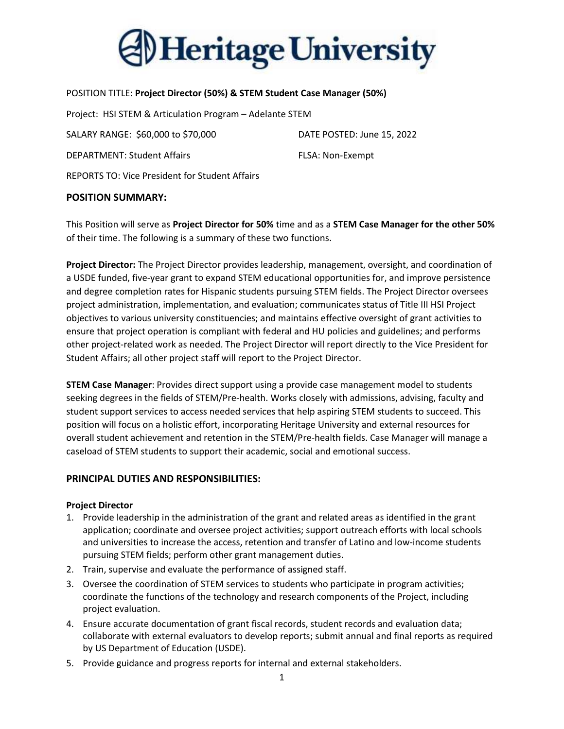

#### POSITION TITLE: Project Director (50%) & STEM Student Case Manager (50%)

Project: HSI STEM & Articulation Program – Adelante STEM

SALARY RANGE: \$60,000 to \$70,000 DATE POSTED: June 15, 2022

DEPARTMENT: Student Affairs FLSA: Non-Exempt

REPORTS TO: Vice President for Student Affairs

### POSITION SUMMARY:

This Position will serve as Project Director for 50% time and as a STEM Case Manager for the other 50% of their time. The following is a summary of these two functions.

Project Director: The Project Director provides leadership, management, oversight, and coordination of a USDE funded, five-year grant to expand STEM educational opportunities for, and improve persistence and degree completion rates for Hispanic students pursuing STEM fields. The Project Director oversees project administration, implementation, and evaluation; communicates status of Title III HSI Project objectives to various university constituencies; and maintains effective oversight of grant activities to ensure that project operation is compliant with federal and HU policies and guidelines; and performs other project-related work as needed. The Project Director will report directly to the Vice President for Student Affairs; all other project staff will report to the Project Director.

**STEM Case Manager**: Provides direct support using a provide case management model to students seeking degrees in the fields of STEM/Pre-health. Works closely with admissions, advising, faculty and student support services to access needed services that help aspiring STEM students to succeed. This position will focus on a holistic effort, incorporating Heritage University and external resources for overall student achievement and retention in the STEM/Pre-health fields. Case Manager will manage a caseload of STEM students to support their academic, social and emotional success.

# PRINCIPAL DUTIES AND RESPONSIBILITIES:

### Project Director

- 1. Provide leadership in the administration of the grant and related areas as identified in the grant application; coordinate and oversee project activities; support outreach efforts with local schools and universities to increase the access, retention and transfer of Latino and low-income students pursuing STEM fields; perform other grant management duties.
- 2. Train, supervise and evaluate the performance of assigned staff.
- 3. Oversee the coordination of STEM services to students who participate in program activities; coordinate the functions of the technology and research components of the Project, including project evaluation.
- 4. Ensure accurate documentation of grant fiscal records, student records and evaluation data; collaborate with external evaluators to develop reports; submit annual and final reports as required by US Department of Education (USDE).
- 5. Provide guidance and progress reports for internal and external stakeholders.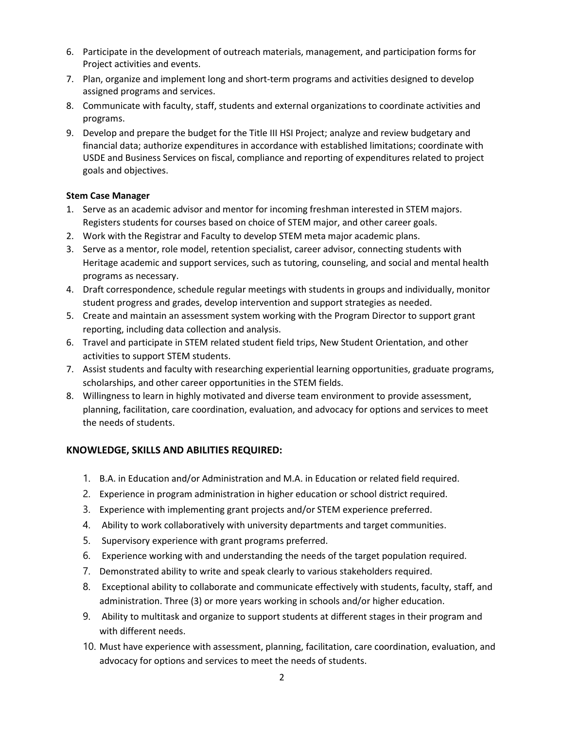- 6. Participate in the development of outreach materials, management, and participation forms for Project activities and events.
- 7. Plan, organize and implement long and short-term programs and activities designed to develop assigned programs and services.
- 8. Communicate with faculty, staff, students and external organizations to coordinate activities and programs.
- 9. Develop and prepare the budget for the Title III HSI Project; analyze and review budgetary and financial data; authorize expenditures in accordance with established limitations; coordinate with USDE and Business Services on fiscal, compliance and reporting of expenditures related to project goals and objectives.

# Stem Case Manager

- 1. Serve as an academic advisor and mentor for incoming freshman interested in STEM majors. Registers students for courses based on choice of STEM major, and other career goals.
- 2. Work with the Registrar and Faculty to develop STEM meta major academic plans.
- 3. Serve as a mentor, role model, retention specialist, career advisor, connecting students with Heritage academic and support services, such as tutoring, counseling, and social and mental health programs as necessary.
- 4. Draft correspondence, schedule regular meetings with students in groups and individually, monitor student progress and grades, develop intervention and support strategies as needed.
- 5. Create and maintain an assessment system working with the Program Director to support grant reporting, including data collection and analysis.
- 6. Travel and participate in STEM related student field trips, New Student Orientation, and other activities to support STEM students.
- 7. Assist students and faculty with researching experiential learning opportunities, graduate programs, scholarships, and other career opportunities in the STEM fields.
- 8. Willingness to learn in highly motivated and diverse team environment to provide assessment, planning, facilitation, care coordination, evaluation, and advocacy for options and services to meet the needs of students.

# KNOWLEDGE, SKILLS AND ABILITIES REQUIRED:

- 1. B.A. in Education and/or Administration and M.A. in Education or related field required.
- 2. Experience in program administration in higher education or school district required.
- 3. Experience with implementing grant projects and/or STEM experience preferred.
- 4. Ability to work collaboratively with university departments and target communities.
- 5. Supervisory experience with grant programs preferred.
- 6. Experience working with and understanding the needs of the target population required.
- 7. Demonstrated ability to write and speak clearly to various stakeholders required.
- 8. Exceptional ability to collaborate and communicate effectively with students, faculty, staff, and administration. Three (3) or more years working in schools and/or higher education.
- 9. Ability to multitask and organize to support students at different stages in their program and with different needs.
- 10. Must have experience with assessment, planning, facilitation, care coordination, evaluation, and advocacy for options and services to meet the needs of students.